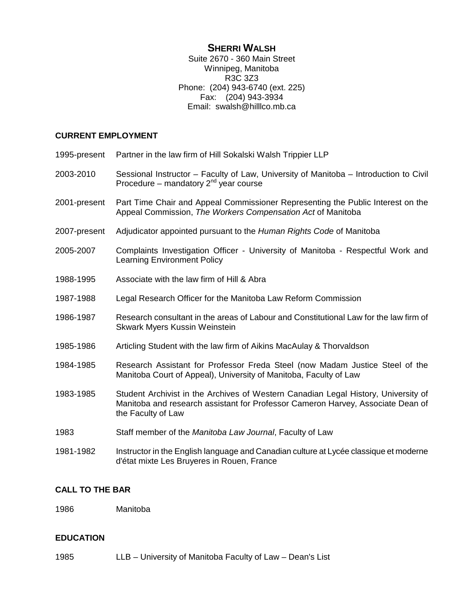# **SHERRI WALSH**

Suite 2670 - 360 Main Street Winnipeg, Manitoba R3C 3Z3 Phone: (204) 943-6740 (ext. 225) Fax: (204) 943-3934 Email: swalsh@hilllco.mb.ca

## **CURRENT EMPLOYMENT**

| 1995-present | Partner in the law firm of Hill Sokalski Walsh Trippier LLP                                                                                                                                 |
|--------------|---------------------------------------------------------------------------------------------------------------------------------------------------------------------------------------------|
| 2003-2010    | Sessional Instructor - Faculty of Law, University of Manitoba - Introduction to Civil<br>Procedure – mandatory $2^{nd}$ year course                                                         |
| 2001-present | Part Time Chair and Appeal Commissioner Representing the Public Interest on the<br>Appeal Commission, The Workers Compensation Act of Manitoba                                              |
| 2007-present | Adjudicator appointed pursuant to the Human Rights Code of Manitoba                                                                                                                         |
| 2005-2007    | Complaints Investigation Officer - University of Manitoba - Respectful Work and<br><b>Learning Environment Policy</b>                                                                       |
| 1988-1995    | Associate with the law firm of Hill & Abra                                                                                                                                                  |
| 1987-1988    | Legal Research Officer for the Manitoba Law Reform Commission                                                                                                                               |
| 1986-1987    | Research consultant in the areas of Labour and Constitutional Law for the law firm of<br><b>Skwark Myers Kussin Weinstein</b>                                                               |
| 1985-1986    | Articling Student with the law firm of Aikins MacAulay & Thorvaldson                                                                                                                        |
| 1984-1985    | Research Assistant for Professor Freda Steel (now Madam Justice Steel of the<br>Manitoba Court of Appeal), University of Manitoba, Faculty of Law                                           |
| 1983-1985    | Student Archivist in the Archives of Western Canadian Legal History, University of<br>Manitoba and research assistant for Professor Cameron Harvey, Associate Dean of<br>the Faculty of Law |
| 1983         | Staff member of the Manitoba Law Journal, Faculty of Law                                                                                                                                    |
| 1981-1982    | Instructor in the English language and Canadian culture at Lycée classique et moderne<br>d'état mixte Les Bruyeres in Rouen, France                                                         |

## **CALL TO THE BAR**

1986 Manitoba

# **EDUCATION**

1985 LLB – University of Manitoba Faculty of Law – Dean's List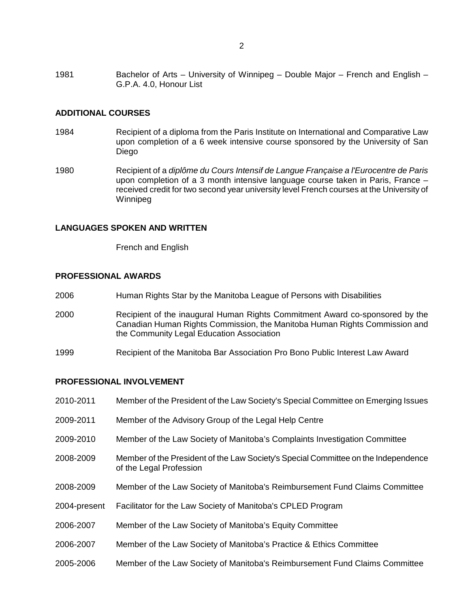1981 Bachelor of Arts – University of Winnipeg – Double Major – French and English – G.P.A. 4.0, Honour List

### **ADDITIONAL COURSES**

- 1984 Recipient of a diploma from the Paris Institute on International and Comparative Law upon completion of a 6 week intensive course sponsored by the University of San Diego
- 1980 Recipient of a *diplôme du Cours Intensif de Langue Française a l'Eurocentre de Paris* upon completion of a 3 month intensive language course taken in Paris, France – received credit for two second year university level French courses at the University of Winnipeg

### **LANGUAGES SPOKEN AND WRITTEN**

French and English

### **PROFESSIONAL AWARDS**

- 2006 Human Rights Star by the Manitoba League of Persons with Disabilities
- 2000 Recipient of the inaugural Human Rights Commitment Award co-sponsored by the Canadian Human Rights Commission, the Manitoba Human Rights Commission and the Community Legal Education Association
- 1999 Recipient of the Manitoba Bar Association Pro Bono Public Interest Law Award

### **PROFESSIONAL INVOLVEMENT**

| 2010-2011    | Member of the President of the Law Society's Special Committee on Emerging Issues                             |
|--------------|---------------------------------------------------------------------------------------------------------------|
| 2009-2011    | Member of the Advisory Group of the Legal Help Centre                                                         |
| 2009-2010    | Member of the Law Society of Manitoba's Complaints Investigation Committee                                    |
| 2008-2009    | Member of the President of the Law Society's Special Committee on the Independence<br>of the Legal Profession |
| 2008-2009    | Member of the Law Society of Manitoba's Reimbursement Fund Claims Committee                                   |
| 2004-present | Facilitator for the Law Society of Manitoba's CPLED Program                                                   |
| 2006-2007    | Member of the Law Society of Manitoba's Equity Committee                                                      |
| 2006-2007    | Member of the Law Society of Manitoba's Practice & Ethics Committee                                           |
| 2005-2006    | Member of the Law Society of Manitoba's Reimbursement Fund Claims Committee                                   |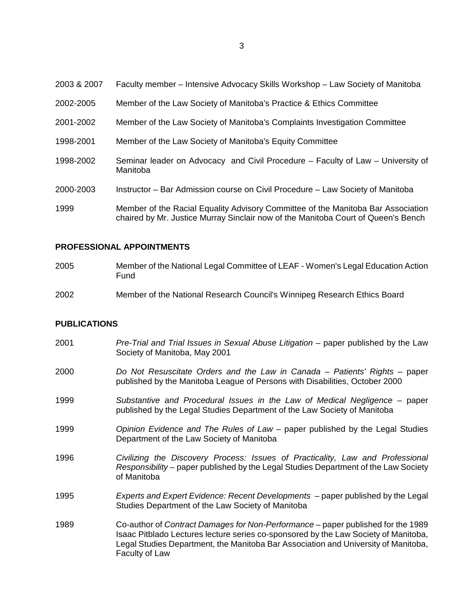| 2003 & 2007 | Faculty member - Intensive Advocacy Skills Workshop - Law Society of Manitoba                                                                                         |
|-------------|-----------------------------------------------------------------------------------------------------------------------------------------------------------------------|
| 2002-2005   | Member of the Law Society of Manitoba's Practice & Ethics Committee                                                                                                   |
| 2001-2002   | Member of the Law Society of Manitoba's Complaints Investigation Committee                                                                                            |
| 1998-2001   | Member of the Law Society of Manitoba's Equity Committee                                                                                                              |
| 1998-2002   | Seminar leader on Advocacy and Civil Procedure – Faculty of Law – University of<br>Manitoba                                                                           |
| 2000-2003   | Instructor – Bar Admission course on Civil Procedure – Law Society of Manitoba                                                                                        |
| 1999        | Member of the Racial Equality Advisory Committee of the Manitoba Bar Association<br>chaired by Mr. Justice Murray Sinclair now of the Manitoba Court of Queen's Bench |

# **PROFESSIONAL APPOINTMENTS**

| 2005 | Member of the National Legal Committee of LEAF - Women's Legal Education Action<br>Fund |
|------|-----------------------------------------------------------------------------------------|
| 2002 | Member of the National Research Council's Winnipeg Research Ethics Board                |

## **PUBLICATIONS**

| 2001 | Pre-Trial and Trial Issues in Sexual Abuse Litigation – paper published by the Law<br>Society of Manitoba, May 2001                                                                                                                                                             |
|------|---------------------------------------------------------------------------------------------------------------------------------------------------------------------------------------------------------------------------------------------------------------------------------|
| 2000 | Do Not Resuscitate Orders and the Law in Canada – Patients' Rights – paper<br>published by the Manitoba League of Persons with Disabilities, October 2000                                                                                                                       |
| 1999 | Substantive and Procedural Issues in the Law of Medical Negligence – paper<br>published by the Legal Studies Department of the Law Society of Manitoba                                                                                                                          |
| 1999 | Opinion Evidence and The Rules of Law – paper published by the Legal Studies<br>Department of the Law Society of Manitoba                                                                                                                                                       |
| 1996 | Civilizing the Discovery Process: Issues of Practicality, Law and Professional<br>Responsibility – paper published by the Legal Studies Department of the Law Society<br>of Manitoba                                                                                            |
| 1995 | Experts and Expert Evidence: Recent Developments - paper published by the Legal<br>Studies Department of the Law Society of Manitoba                                                                                                                                            |
| 1989 | Co-author of Contract Damages for Non-Performance – paper published for the 1989<br>Isaac Pitblado Lectures lecture series co-sponsored by the Law Society of Manitoba,<br>Legal Studies Department, the Manitoba Bar Association and University of Manitoba,<br>Faculty of Law |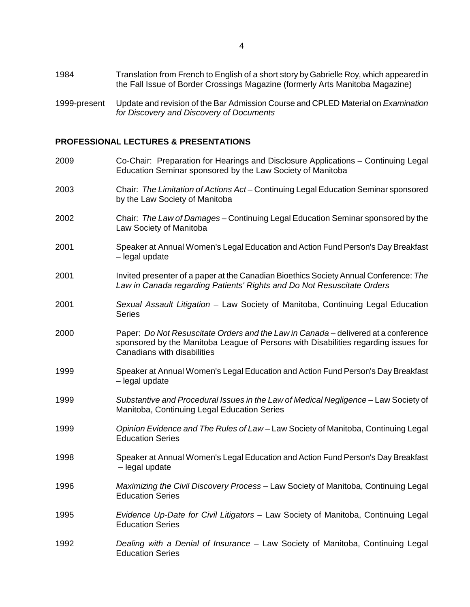- 1984 Translation from French to English of a short story by Gabrielle Roy, which appeared in the Fall Issue of Border Crossings Magazine (formerly Arts Manitoba Magazine)
- 1999-present Update and revision of the Bar Admission Course and CPLED Material on *Examination for Discovery and Discovery of Documents*

#### **PROFESSIONAL LECTURES & PRESENTATIONS**

| 2009 | Co-Chair: Preparation for Hearings and Disclosure Applications - Continuing Legal<br>Education Seminar sponsored by the Law Society of Manitoba                                                         |
|------|---------------------------------------------------------------------------------------------------------------------------------------------------------------------------------------------------------|
| 2003 | Chair: The Limitation of Actions Act-Continuing Legal Education Seminar sponsored<br>by the Law Society of Manitoba                                                                                     |
| 2002 | Chair: The Law of Damages – Continuing Legal Education Seminar sponsored by the<br>Law Society of Manitoba                                                                                              |
| 2001 | Speaker at Annual Women's Legal Education and Action Fund Person's Day Breakfast<br>- legal update                                                                                                      |
| 2001 | Invited presenter of a paper at the Canadian Bioethics Society Annual Conference: The<br>Law in Canada regarding Patients' Rights and Do Not Resuscitate Orders                                         |
| 2001 | Sexual Assault Litigation - Law Society of Manitoba, Continuing Legal Education<br><b>Series</b>                                                                                                        |
| 2000 | Paper: Do Not Resuscitate Orders and the Law in Canada - delivered at a conference<br>sponsored by the Manitoba League of Persons with Disabilities regarding issues for<br>Canadians with disabilities |
| 1999 | Speaker at Annual Women's Legal Education and Action Fund Person's Day Breakfast<br>- legal update                                                                                                      |
| 1999 | Substantive and Procedural Issues in the Law of Medical Negligence - Law Society of<br>Manitoba, Continuing Legal Education Series                                                                      |
| 1999 | Opinion Evidence and The Rules of Law – Law Society of Manitoba, Continuing Legal<br><b>Education Series</b>                                                                                            |
| 1998 | Speaker at Annual Women's Legal Education and Action Fund Person's Day Breakfast<br>- legal update                                                                                                      |
| 1996 | Maximizing the Civil Discovery Process - Law Society of Manitoba, Continuing Legal<br><b>Education Series</b>                                                                                           |
| 1995 | Evidence Up-Date for Civil Litigators - Law Society of Manitoba, Continuing Legal<br><b>Education Series</b>                                                                                            |
| 1992 | Dealing with a Denial of Insurance - Law Society of Manitoba, Continuing Legal<br><b>Education Series</b>                                                                                               |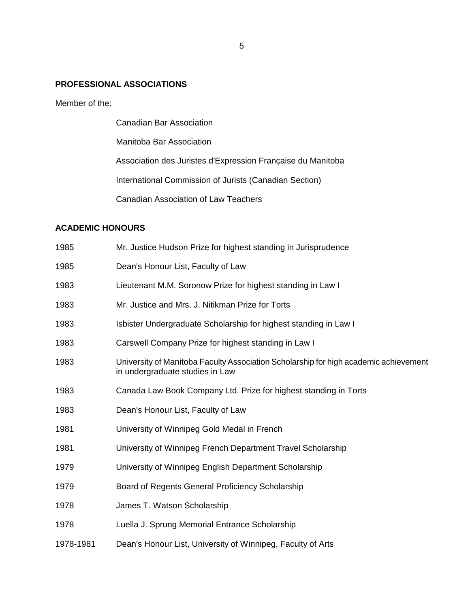### **PROFESSIONAL ASSOCIATIONS**

Member of the:

Canadian Bar Association Manitoba Bar Association Association des Juristes d'Expression Française du Manitoba International Commission of Jurists (Canadian Section) Canadian Association of Law Teachers

## **ACADEMIC HONOURS**

| 1985      | Mr. Justice Hudson Prize for highest standing in Jurisprudence                                                          |
|-----------|-------------------------------------------------------------------------------------------------------------------------|
| 1985      | Dean's Honour List, Faculty of Law                                                                                      |
| 1983      | Lieutenant M.M. Soronow Prize for highest standing in Law I                                                             |
| 1983      | Mr. Justice and Mrs. J. Nitikman Prize for Torts                                                                        |
| 1983      | Isbister Undergraduate Scholarship for highest standing in Law I                                                        |
| 1983      | Carswell Company Prize for highest standing in Law I                                                                    |
| 1983      | University of Manitoba Faculty Association Scholarship for high academic achievement<br>in undergraduate studies in Law |
| 1983      | Canada Law Book Company Ltd. Prize for highest standing in Torts                                                        |
| 1983      | Dean's Honour List, Faculty of Law                                                                                      |
| 1981      | University of Winnipeg Gold Medal in French                                                                             |
| 1981      | University of Winnipeg French Department Travel Scholarship                                                             |
| 1979      | University of Winnipeg English Department Scholarship                                                                   |
| 1979      | Board of Regents General Proficiency Scholarship                                                                        |
| 1978      | James T. Watson Scholarship                                                                                             |
| 1978      | Luella J. Sprung Memorial Entrance Scholarship                                                                          |
| 1978-1981 | Dean's Honour List, University of Winnipeg, Faculty of Arts                                                             |